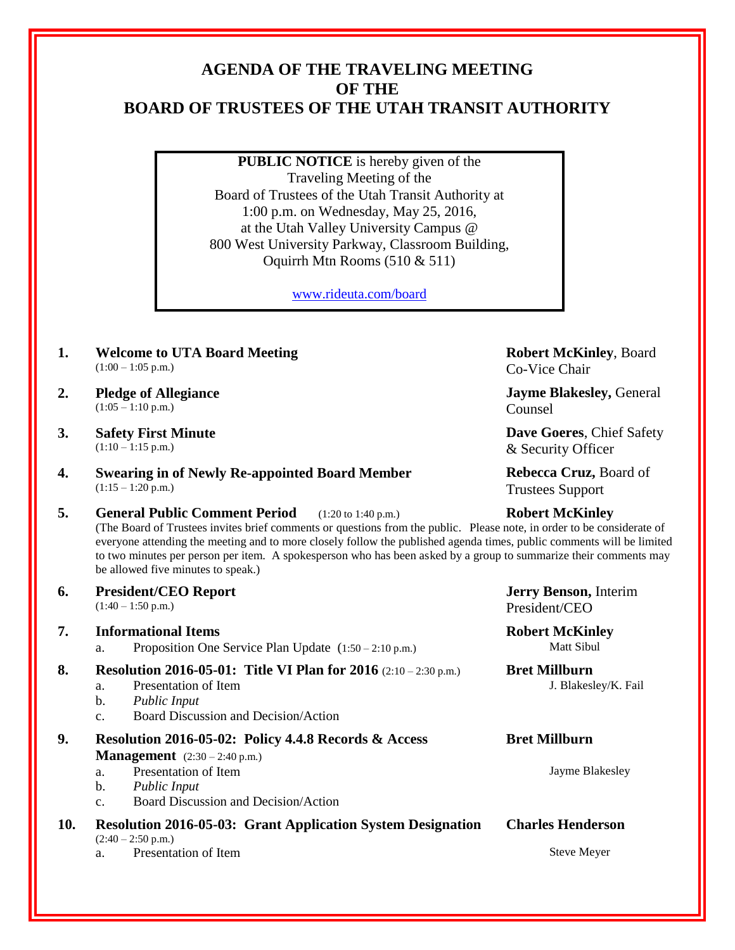## **AGENDA OF THE TRAVELING MEETING OF THE BOARD OF TRUSTEES OF THE UTAH TRANSIT AUTHORITY**

**PUBLIC NOTICE** is hereby given of the Traveling Meeting of the Board of Trustees of the Utah Transit Authority at 1:00 p.m. on Wednesday, May 25, 2016, at the Utah Valley University Campus @ 800 West University Parkway, Classroom Building, Oquirrh Mtn Rooms (510 & 511)

[www.rideuta.com/board](http://www.rideuta.com/board)

- **1. Welcome to UTA Board Meeting**  $(1:00 - 1:05 \text{ p.m.})$
- **2. Pledge of Allegiance**  $(1:05 - 1:10 \text{ p.m.})$

**3. Safety First Minute**  $(1:10 - 1:15 \text{ p.m.})$ 

**4. Swearing in of Newly Re-appointed Board Member**

 $(1:15 - 1:20 \text{ p.m.})$ 

**5. General Public Comment Period** (1:20 to 1:40 p.m.) **Robert McKinley** (The Board of Trustees invites brief comments or questions from the public. Please note, in order to be considerate of everyone attending the meeting and to more closely follow the published agenda times, public comments will be limited to two minutes per person per item. A spokesperson who has been asked by a group to summarize their comments may be allowed five minutes to speak.)

**6. President/CEO Report**

 $(1:40 - 1:50 \text{ p.m.})$ 

# **7. Informational Items Robert McKinley**<br> **Robert McKinley**<br> **Robert McKinley**<br> **Robert McKinley**<br> **Robert McKinley**

a. Proposition One Service Plan Update  $(1:50 - 2:10 \text{ p.m.})$ 

**8. Resolution 2016-05-01: Title VI Plan for 2016** (2:10 – 2:30 p.m.) **Bret Millburn**

- a. Presentation of Item J. Blakesley/K. Fail
- b. *Public Input*
- c. Board Discussion and Decision/Action
- **9. Resolution 2016-05-02: Policy 4.4.8 Records & Access Management**  $(2:30 - 2:40 \text{ p.m.})$ a. Presentation of Item Jayme Blakesley
	-
	- b. *Public Input*
	- c. Board Discussion and Decision/Action
- **10. Resolution 2016-05-03: Grant Application System Designation**  $(2:40 - 2:50 \text{ p.m.})$ 
	- a. Presentation of Item Steve Meyer

**Robert McKinley**, Board Co-Vice Chair

**Jayme Blakesley,** General Counsel

**Dave Goeres**, Chief Safety & Security Officer

**Rebecca Cruz,** Board of Trustees Support

**Jerry Benson,** Interim President/CEO

### **Bret Millburn**

#### **Charles Henderson**